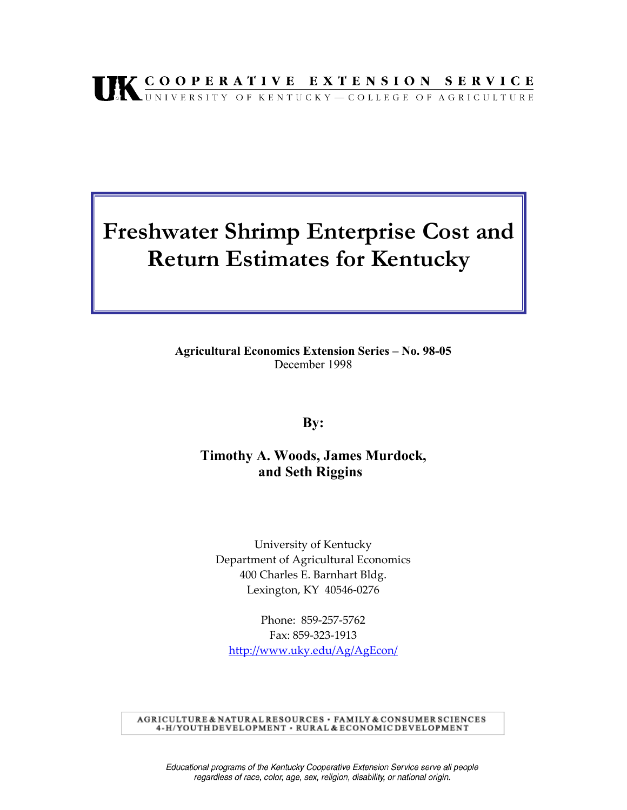# UK COOPERATIVE EXTENSION SERVICE

## **Freshwater Shrimp Enterprise Cost and Return Estimates for Kentucky**

**Agricultural Economics Extension Series - No. 98-05** December 1998

**By:** 

### **Timothy A. Woods, James Murdock, and Seth Riggins**

University of Kentucky Department of Agricultural Economics 400 Charles E. Barnhart Bldg. Lexington, KY 40546-0276

Phone: 859-257-5762 Fax: 859-323-1913 http://www.uky.edu/Ag/AgEcon/

AGRICULTURE & NATURAL RESOURCES · FAMILY & CONSUMER SCIENCES 4-H/YOUTH DEVELOPMENT · RURAL & ECONOMIC DEVELOPMENT

Educational programs of the Kentucky Cooperative Extension Service serve all people regardless of race, color, age, sex, religion, disability, or national origin.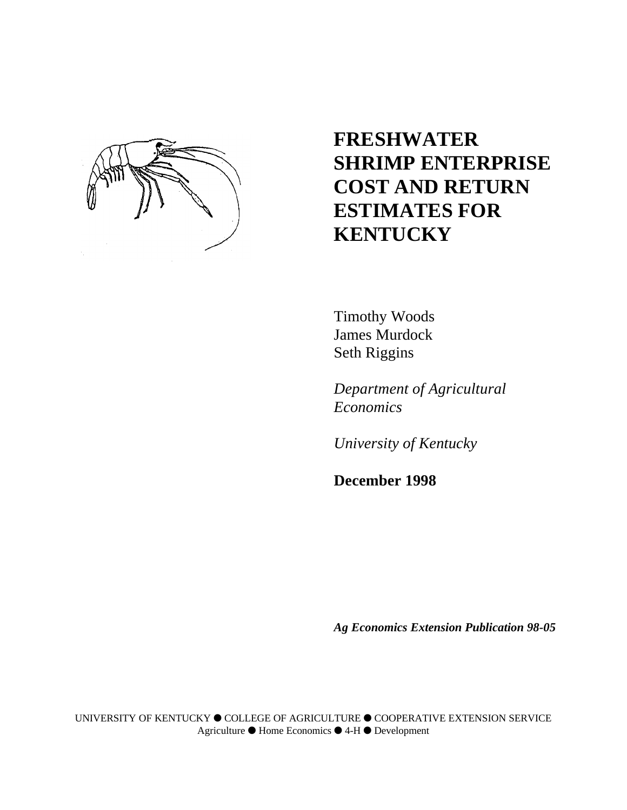

## **FRESHWATER SHRIMP ENTERPRISE COST AND RETURN ESTIMATES FOR KENTUCKY**

Timothy Woods James Murdock Seth Riggins

*Department of Agricultural Economics*

*University of Kentucky*

**December 1998**

*Ag Economics Extension Publication 98-05*

UNIVERSITY OF KENTUCKY é COLLEGE OF AGRICULTURE é COOPERATIVE EXTENSION SERVICE Agriculture é Home Economics é 4-H é Development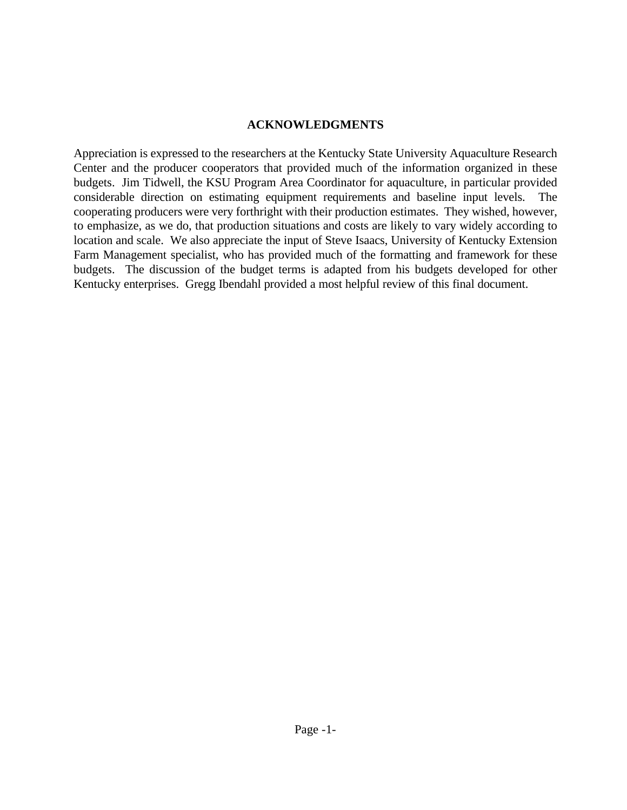#### **ACKNOWLEDGMENTS**

Appreciation is expressed to the researchers at the Kentucky State University Aquaculture Research Center and the producer cooperators that provided much of the information organized in these budgets. Jim Tidwell, the KSU Program Area Coordinator for aquaculture, in particular provided considerable direction on estimating equipment requirements and baseline input levels. The cooperating producers were very forthright with their production estimates. They wished, however, to emphasize, as we do, that production situations and costs are likely to vary widely according to location and scale. We also appreciate the input of Steve Isaacs, University of Kentucky Extension Farm Management specialist, who has provided much of the formatting and framework for these budgets. The discussion of the budget terms is adapted from his budgets developed for other Kentucky enterprises. Gregg Ibendahl provided a most helpful review of this final document.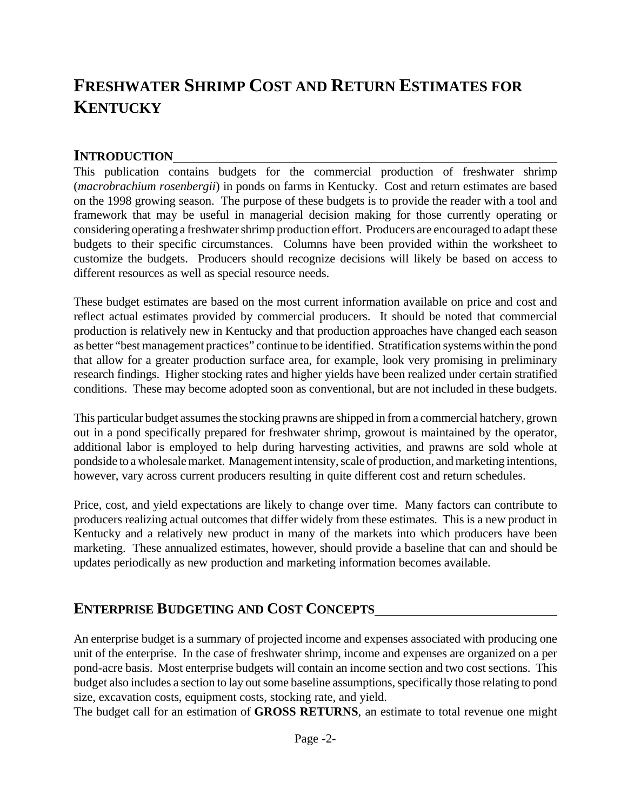## **FRESHWATER SHRIMP COST AND RETURN ESTIMATES FOR KENTUCKY**

### **INTRODUCTION**

This publication contains budgets for the commercial production of freshwater shrimp (*macrobrachium rosenbergii*) in ponds on farms in Kentucky. Cost and return estimates are based on the 1998 growing season. The purpose of these budgets is to provide the reader with a tool and framework that may be useful in managerial decision making for those currently operating or considering operating a freshwater shrimp production effort. Producers are encouraged to adapt these budgets to their specific circumstances. Columns have been provided within the worksheet to customize the budgets. Producers should recognize decisions will likely be based on access to different resources as well as special resource needs.

These budget estimates are based on the most current information available on price and cost and reflect actual estimates provided by commercial producers. It should be noted that commercial production is relatively new in Kentucky and that production approaches have changed each season as better "best management practices" continue to be identified. Stratification systems within the pond that allow for a greater production surface area, for example, look very promising in preliminary research findings. Higher stocking rates and higher yields have been realized under certain stratified conditions. These may become adopted soon as conventional, but are not included in these budgets.

This particular budget assumes the stocking prawns are shipped in from a commercial hatchery, grown out in a pond specifically prepared for freshwater shrimp, growout is maintained by the operator, additional labor is employed to help during harvesting activities, and prawns are sold whole at pondside to a wholesale market. Management intensity, scale of production, and marketing intentions, however, vary across current producers resulting in quite different cost and return schedules.

Price, cost, and yield expectations are likely to change over time. Many factors can contribute to producers realizing actual outcomes that differ widely from these estimates. This is a new product in Kentucky and a relatively new product in many of the markets into which producers have been marketing. These annualized estimates, however, should provide a baseline that can and should be updates periodically as new production and marketing information becomes available.

## **ENTERPRISE BUDGETING AND COST CONCEPTS**

An enterprise budget is a summary of projected income and expenses associated with producing one unit of the enterprise. In the case of freshwater shrimp, income and expenses are organized on a per pond-acre basis. Most enterprise budgets will contain an income section and two cost sections. This budget also includes a section to lay out some baseline assumptions, specifically those relating to pond size, excavation costs, equipment costs, stocking rate, and yield.

The budget call for an estimation of **GROSS RETURNS**, an estimate to total revenue one might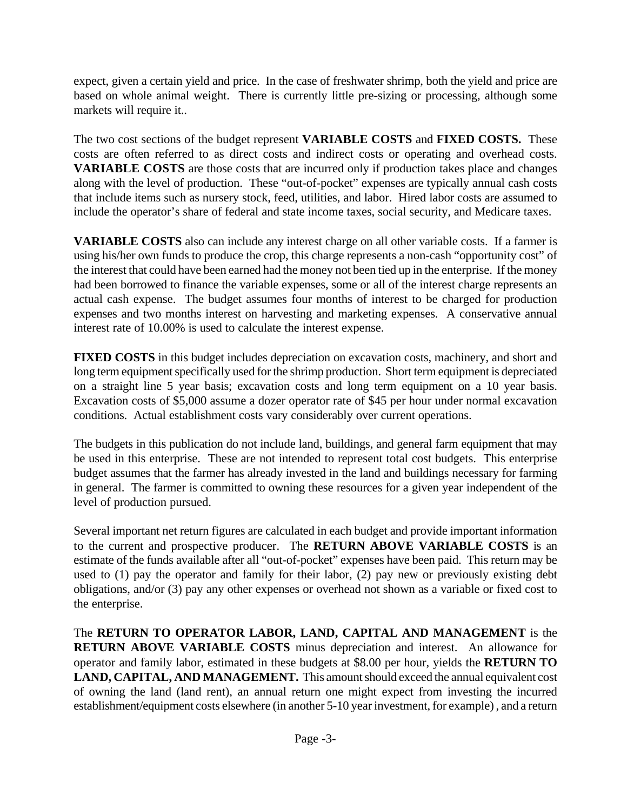expect, given a certain yield and price. In the case of freshwater shrimp, both the yield and price are based on whole animal weight. There is currently little pre-sizing or processing, although some markets will require it..

The two cost sections of the budget represent **VARIABLE COSTS** and **FIXED COSTS.** These costs are often referred to as direct costs and indirect costs or operating and overhead costs. **VARIABLE COSTS** are those costs that are incurred only if production takes place and changes along with the level of production. These "out-of-pocket" expenses are typically annual cash costs that include items such as nursery stock, feed, utilities, and labor. Hired labor costs are assumed to include the operator's share of federal and state income taxes, social security, and Medicare taxes.

**VARIABLE COSTS** also can include any interest charge on all other variable costs. If a farmer is using his/her own funds to produce the crop, this charge represents a non-cash "opportunity cost" of the interest that could have been earned had the money not been tied up in the enterprise. If the money had been borrowed to finance the variable expenses, some or all of the interest charge represents an actual cash expense. The budget assumes four months of interest to be charged for production expenses and two months interest on harvesting and marketing expenses. A conservative annual interest rate of 10.00% is used to calculate the interest expense.

**FIXED COSTS** in this budget includes depreciation on excavation costs, machinery, and short and long term equipment specifically used for the shrimp production. Short term equipment is depreciated on a straight line 5 year basis; excavation costs and long term equipment on a 10 year basis. Excavation costs of \$5,000 assume a dozer operator rate of \$45 per hour under normal excavation conditions. Actual establishment costs vary considerably over current operations.

The budgets in this publication do not include land, buildings, and general farm equipment that may be used in this enterprise. These are not intended to represent total cost budgets. This enterprise budget assumes that the farmer has already invested in the land and buildings necessary for farming in general. The farmer is committed to owning these resources for a given year independent of the level of production pursued.

Several important net return figures are calculated in each budget and provide important information to the current and prospective producer. The **RETURN ABOVE VARIABLE COSTS** is an estimate of the funds available after all "out-of-pocket" expenses have been paid. This return may be used to (1) pay the operator and family for their labor, (2) pay new or previously existing debt obligations, and/or (3) pay any other expenses or overhead not shown as a variable or fixed cost to the enterprise.

The **RETURN TO OPERATOR LABOR, LAND, CAPITAL AND MANAGEMENT** is the **RETURN ABOVE VARIABLE COSTS** minus depreciation and interest. An allowance for operator and family labor, estimated in these budgets at \$8.00 per hour, yields the **RETURN TO LAND, CAPITAL, AND MANAGEMENT.** This amount should exceed the annual equivalent cost of owning the land (land rent), an annual return one might expect from investing the incurred establishment/equipment costs elsewhere (in another 5-10 year investment, for example) , and a return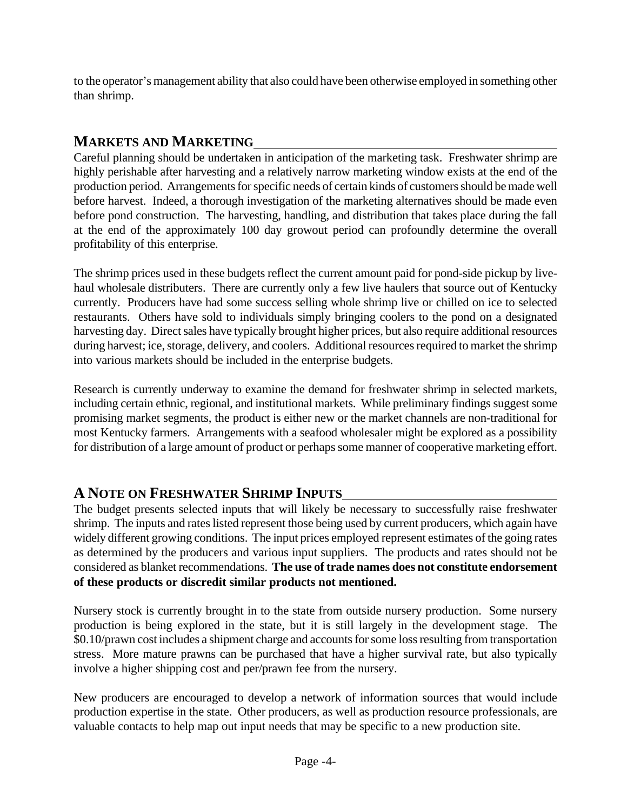to the operator's management ability that also could have been otherwise employed in something other than shrimp.

## **MARKETS AND MARKETING**

Careful planning should be undertaken in anticipation of the marketing task. Freshwater shrimp are highly perishable after harvesting and a relatively narrow marketing window exists at the end of the production period. Arrangements for specific needs of certain kinds of customers should be made well before harvest. Indeed, a thorough investigation of the marketing alternatives should be made even before pond construction. The harvesting, handling, and distribution that takes place during the fall at the end of the approximately 100 day growout period can profoundly determine the overall profitability of this enterprise.

The shrimp prices used in these budgets reflect the current amount paid for pond-side pickup by livehaul wholesale distributers. There are currently only a few live haulers that source out of Kentucky currently. Producers have had some success selling whole shrimp live or chilled on ice to selected restaurants. Others have sold to individuals simply bringing coolers to the pond on a designated harvesting day. Direct sales have typically brought higher prices, but also require additional resources during harvest; ice, storage, delivery, and coolers. Additional resources required to market the shrimp into various markets should be included in the enterprise budgets.

Research is currently underway to examine the demand for freshwater shrimp in selected markets, including certain ethnic, regional, and institutional markets. While preliminary findings suggest some promising market segments, the product is either new or the market channels are non-traditional for most Kentucky farmers. Arrangements with a seafood wholesaler might be explored as a possibility for distribution of a large amount of product or perhaps some manner of cooperative marketing effort.

## **A NOTE ON FRESHWATER SHRIMP INPUTS**

The budget presents selected inputs that will likely be necessary to successfully raise freshwater shrimp. The inputs and rates listed represent those being used by current producers, which again have widely different growing conditions. The input prices employed represent estimates of the going rates as determined by the producers and various input suppliers. The products and rates should not be considered as blanket recommendations. **The use of trade names does not constitute endorsement of these products or discredit similar products not mentioned.**

Nursery stock is currently brought in to the state from outside nursery production. Some nursery production is being explored in the state, but it is still largely in the development stage. The \$0.10/prawn cost includes a shipment charge and accounts for some loss resulting from transportation stress. More mature prawns can be purchased that have a higher survival rate, but also typically involve a higher shipping cost and per/prawn fee from the nursery.

New producers are encouraged to develop a network of information sources that would include production expertise in the state. Other producers, as well as production resource professionals, are valuable contacts to help map out input needs that may be specific to a new production site.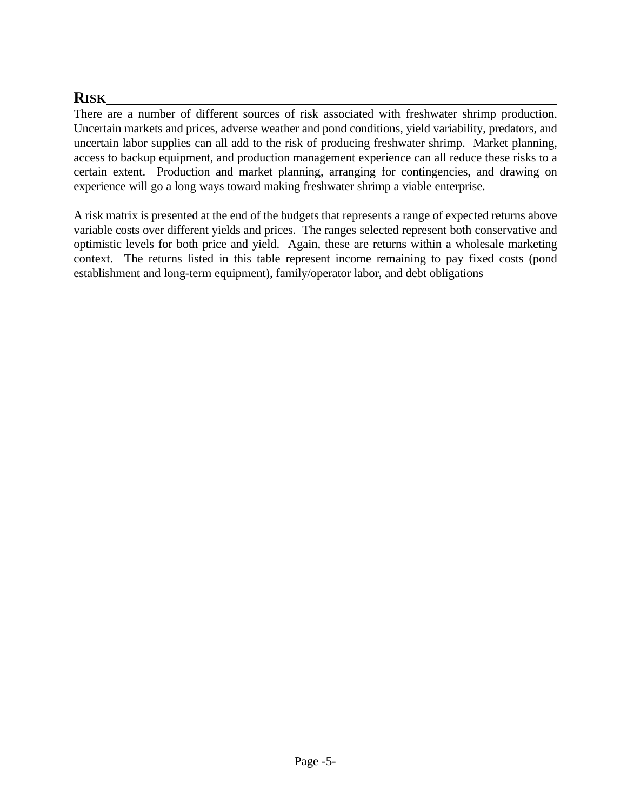## **RISK**

There are a number of different sources of risk associated with freshwater shrimp production. Uncertain markets and prices, adverse weather and pond conditions, yield variability, predators, and uncertain labor supplies can all add to the risk of producing freshwater shrimp. Market planning, access to backup equipment, and production management experience can all reduce these risks to a certain extent. Production and market planning, arranging for contingencies, and drawing on experience will go a long ways toward making freshwater shrimp a viable enterprise.

A risk matrix is presented at the end of the budgets that represents a range of expected returns above variable costs over different yields and prices. The ranges selected represent both conservative and optimistic levels for both price and yield. Again, these are returns within a wholesale marketing context. The returns listed in this table represent income remaining to pay fixed costs (pond establishment and long-term equipment), family/operator labor, and debt obligations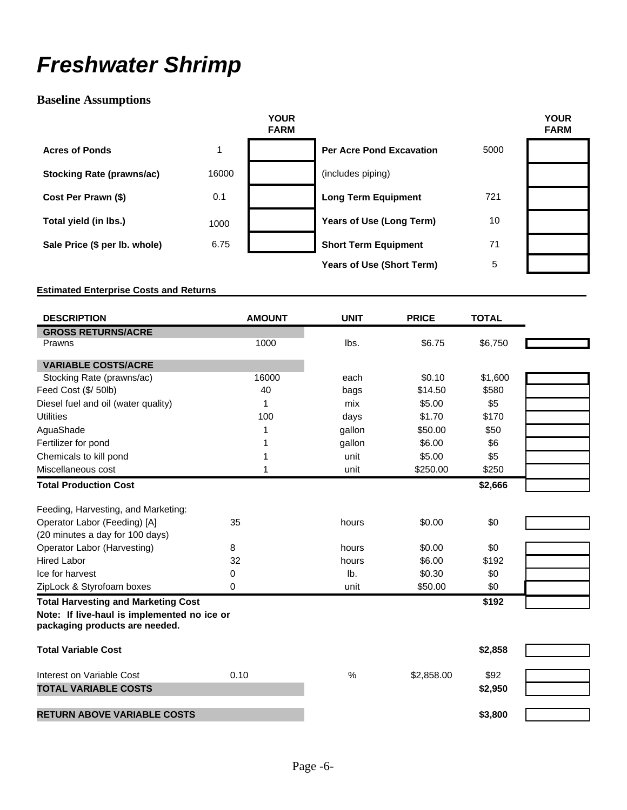## *Freshwater Shrimp*

### **Baseline Assumptions**

|                                  |       | <b>YOUR</b><br><b>FARM</b> |                                 |      | <b>YOUR</b><br><b>FARM</b> |
|----------------------------------|-------|----------------------------|---------------------------------|------|----------------------------|
| <b>Acres of Ponds</b>            | 1     |                            | <b>Per Acre Pond Excavation</b> | 5000 |                            |
| <b>Stocking Rate (prawns/ac)</b> | 16000 |                            | (includes piping)               |      |                            |
| Cost Per Prawn (\$)              | 0.1   |                            | <b>Long Term Equipment</b>      | 721  |                            |
| Total yield (in lbs.)            | 1000  |                            | Years of Use (Long Term)        | 10   |                            |
| Sale Price (\$ per lb. whole)    | 6.75  |                            | <b>Short Term Equipment</b>     | 71   |                            |
|                                  |       |                            | Years of Use (Short Term)       | 5    |                            |

#### **Estimated Enterprise Costs and Returns**

| <b>DESCRIPTION</b>                                                            | <b>AMOUNT</b> | <b>UNIT</b> | <b>PRICE</b> | <b>TOTAL</b> |
|-------------------------------------------------------------------------------|---------------|-------------|--------------|--------------|
| <b>GROSS RETURNS/ACRE</b>                                                     |               |             |              |              |
| Prawns                                                                        | 1000          | lbs.        | \$6.75       | \$6,750      |
| <b>VARIABLE COSTS/ACRE</b>                                                    |               |             |              |              |
| Stocking Rate (prawns/ac)                                                     | 16000         | each        | \$0.10       | \$1,600      |
| Feed Cost (\$/ 50lb)                                                          | 40            | bags        | \$14.50      | \$580        |
| Diesel fuel and oil (water quality)                                           | 1             | mix         | \$5.00       | \$5          |
| <b>Utilities</b>                                                              | 100           | days        | \$1.70       | \$170        |
| AguaShade                                                                     | 1             | gallon      | \$50.00      | \$50         |
| Fertilizer for pond                                                           |               | gallon      | \$6.00       | \$6          |
| Chemicals to kill pond                                                        |               | unit        | \$5.00       | \$5          |
| Miscellaneous cost                                                            |               | unit        | \$250.00     | \$250        |
| <b>Total Production Cost</b>                                                  |               |             |              | \$2,666      |
| Feeding, Harvesting, and Marketing:                                           |               |             |              |              |
| Operator Labor (Feeding) [A]                                                  | 35            | hours       | \$0.00       | \$0          |
| (20 minutes a day for 100 days)                                               |               |             |              |              |
| Operator Labor (Harvesting)                                                   | 8             | hours       | \$0.00       | \$0          |
| <b>Hired Labor</b>                                                            | 32            | hours       | \$6.00       | \$192        |
| Ice for harvest                                                               | 0             | lb.         | \$0.30       | \$0          |
| ZipLock & Styrofoam boxes                                                     | 0             | unit        | \$50.00      | \$0          |
| <b>Total Harvesting and Marketing Cost</b>                                    |               |             |              | \$192        |
| Note: If live-haul is implemented no ice or<br>packaging products are needed. |               |             |              |              |
| <b>Total Variable Cost</b>                                                    |               |             |              | \$2,858      |
| Interest on Variable Cost                                                     | 0.10          | %           | \$2,858.00   | \$92         |
| <b>TOTAL VARIABLE COSTS</b>                                                   |               |             |              | \$2,950      |
| <b>RETURN ABOVE VARIABLE COSTS</b>                                            |               |             |              | \$3,800      |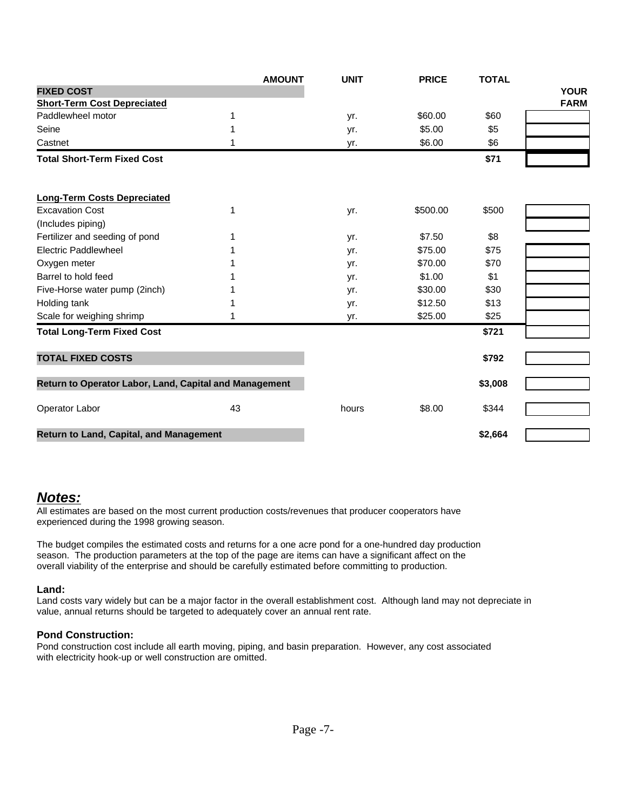|                                                        | <b>AMOUNT</b> | <b>UNIT</b> | <b>PRICE</b> | <b>TOTAL</b> |             |
|--------------------------------------------------------|---------------|-------------|--------------|--------------|-------------|
| <b>FIXED COST</b>                                      |               |             |              |              | <b>YOUR</b> |
| <b>Short-Term Cost Depreciated</b>                     |               |             |              |              | <b>FARM</b> |
| Paddlewheel motor                                      | 1             | yr.         | \$60.00      | \$60         |             |
| Seine                                                  | 1             | yr.         | \$5.00       | \$5          |             |
| Castnet                                                | 1             | yr.         | \$6.00       | \$6          |             |
| <b>Total Short-Term Fixed Cost</b>                     |               |             |              | \$71         |             |
| <b>Long-Term Costs Depreciated</b>                     |               |             |              |              |             |
| <b>Excavation Cost</b>                                 | 1             | yr.         | \$500.00     | \$500        |             |
| (Includes piping)                                      |               |             |              |              |             |
| Fertilizer and seeding of pond                         | 1             | yr.         | \$7.50       | \$8          |             |
| Electric Paddlewheel                                   |               | yr.         | \$75.00      | \$75         |             |
| Oxygen meter                                           |               | yr.         | \$70.00      | \$70         |             |
| Barrel to hold feed                                    |               | yr.         | \$1.00       | \$1          |             |
| Five-Horse water pump (2inch)                          |               | yr.         | \$30.00      | \$30         |             |
| Holding tank                                           |               | yr.         | \$12.50      | \$13         |             |
| Scale for weighing shrimp                              |               | yr.         | \$25.00      | \$25         |             |
| <b>Total Long-Term Fixed Cost</b>                      |               |             |              | \$721        |             |
| <b>TOTAL FIXED COSTS</b>                               |               |             |              | \$792        |             |
| Return to Operator Labor, Land, Capital and Management |               |             |              | \$3,008      |             |
| Operator Labor                                         | 43            | hours       | \$8.00       | \$344        |             |
| Return to Land, Capital, and Management                |               |             |              | \$2,664      |             |

#### *Notes:*

All estimates are based on the most current production costs/revenues that producer cooperators have experienced during the 1998 growing season.

The budget compiles the estimated costs and returns for a one acre pond for a one-hundred day production season. The production parameters at the top of the page are items can have a significant affect on the overall viability of the enterprise and should be carefully estimated before committing to production.

#### **Land:**

Land costs vary widely but can be a major factor in the overall establishment cost. Although land may not depreciate in value, annual returns should be targeted to adequately cover an annual rent rate.

#### **Pond Construction:**

Pond construction cost include all earth moving, piping, and basin preparation. However, any cost associated with electricity hook-up or well construction are omitted.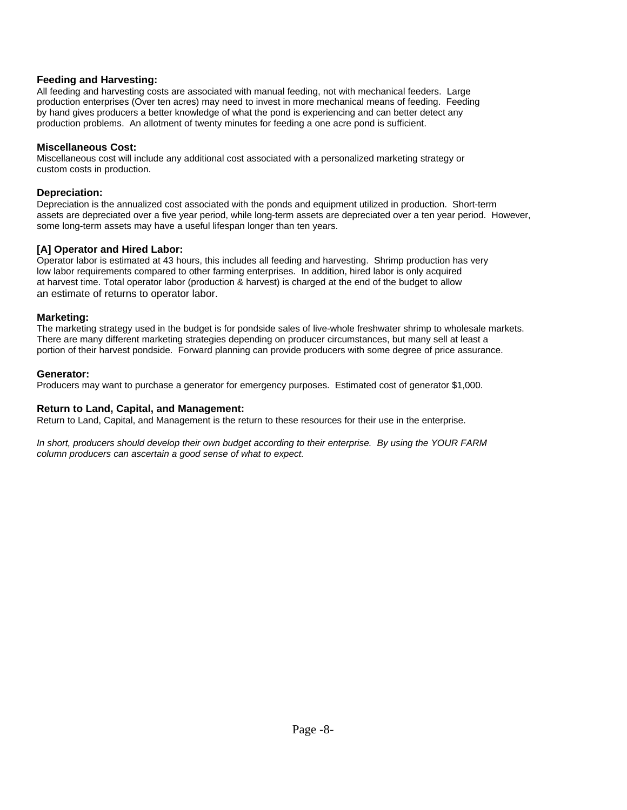#### **Feeding and Harvesting:**

All feeding and harvesting costs are associated with manual feeding, not with mechanical feeders. Large production enterprises (Over ten acres) may need to invest in more mechanical means of feeding. Feeding by hand gives producers a better knowledge of what the pond is experiencing and can better detect any production problems. An allotment of twenty minutes for feeding a one acre pond is sufficient.

#### **Miscellaneous Cost:**

Miscellaneous cost will include any additional cost associated with a personalized marketing strategy or custom costs in production.

#### **Depreciation:**

Depreciation is the annualized cost associated with the ponds and equipment utilized in production. Short-term assets are depreciated over a five year period, while long-term assets are depreciated over a ten year period. However, some long-term assets may have a useful lifespan longer than ten years.

#### **[A] Operator and Hired Labor:**

Operator labor is estimated at 43 hours, this includes all feeding and harvesting. Shrimp production has very low labor requirements compared to other farming enterprises. In addition, hired labor is only acquired at harvest time. Total operator labor (production & harvest) is charged at the end of the budget to allow an estimate of returns to operator labor.

#### **Marketing:**

The marketing strategy used in the budget is for pondside sales of live-whole freshwater shrimp to wholesale markets. There are many different marketing strategies depending on producer circumstances, but many sell at least a portion of their harvest pondside. Forward planning can provide producers with some degree of price assurance.

#### **Generator:**

Producers may want to purchase a generator for emergency purposes. Estimated cost of generator \$1,000.

#### **Return to Land, Capital, and Management:**

Return to Land, Capital, and Management is the return to these resources for their use in the enterprise.

*In short, producers should develop their own budget according to their enterprise. By using the YOUR FARM column producers can ascertain a good sense of what to expect.*